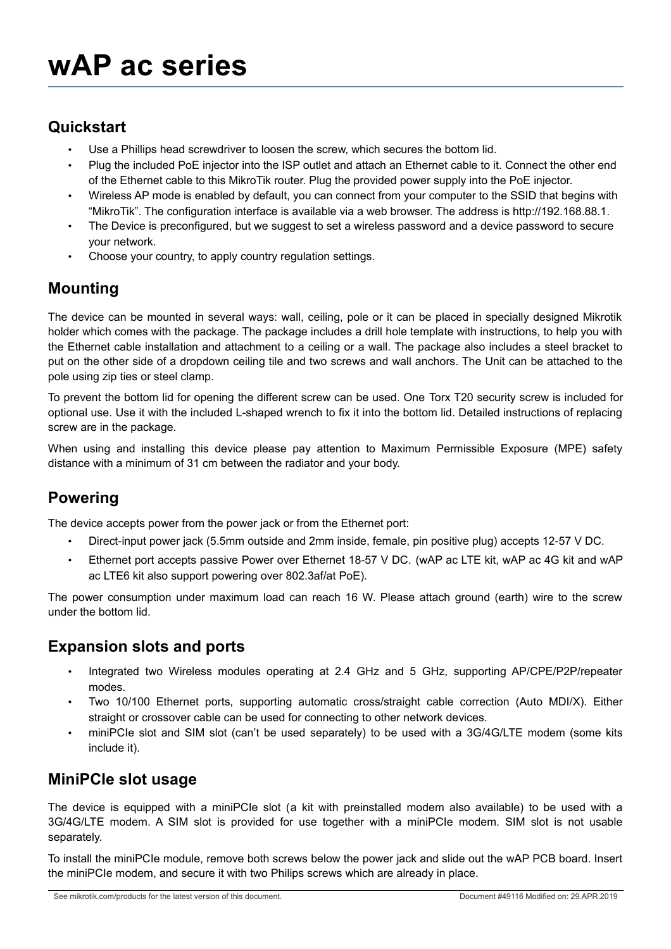#### **Quickstart**

- Use a Phillips head screwdriver to loosen the screw, which secures the bottom lid.
- Plug the included PoE injector into the ISP outlet and attach an Ethernet cable to it. Connect the other end of the Ethernet cable to this MikroTik router. Plug the provided power supply into the PoE injector.
- Wireless AP mode is enabled by default, you can connect from your computer to the SSID that begins with "MikroTik". The configuration interface is available via a web browser. The address is http://192.168.88.1.
- The Device is preconfigured, but we suggest to set a wireless password and a device password to secure your network.
- Choose your country, to apply country regulation settings.

### **Mounting**

The device can be mounted in several ways: wall, ceiling, pole or it can be placed in specially designed Mikrotik holder which comes with the package. The package includes a drill hole template with instructions, to help you with the Ethernet cable installation and attachment to a ceiling or a wall. The package also includes a steel bracket to put on the other side of a dropdown ceiling tile and two screws and wall anchors. The Unit can be attached to the pole using zip ties or steel clamp.

To prevent the bottom lid for opening the different screw can be used. One Torx T20 security screw is included for optional use. Use it with the included L-shaped wrench to fix it into the bottom lid. Detailed instructions of replacing screw are in the package.

When using and installing this device please pay attention to Maximum Permissible Exposure (MPE) safety distance with a minimum of 31 cm between the radiator and your body.

# **Powering**

The device accepts power from the power jack or from the Ethernet port:

- Direct-input power jack (5.5mm outside and 2mm inside, female, pin positive plug) accepts 12-57 V DC.
- Ethernet port accepts passive Power over Ethernet 18-57 V DC. (wAP ac LTE kit, wAP ac 4G kit and wAP ac LTE6 kit also support powering over 802.3af/at PoE).

The power consumption under maximum load can reach 16 W. Please attach ground (earth) wire to the screw under the bottom lid.

#### **Expansion slots and ports**

- Integrated two Wireless modules operating at 2.4 GHz and 5 GHz, supporting AP/CPE/P2P/repeater modes.
- Two 10/100 Ethernet ports, supporting automatic cross/straight cable correction (Auto MDI/X). Either straight or crossover cable can be used for connecting to other network devices.
- miniPCIe slot and SIM slot (can't be used separately) to be used with a 3G/4G/LTE modem (some kits include it).

#### **MiniPCIe slot usage**

The device is equipped with a miniPCIe slot (a kit with preinstalled modem also available) to be used with a 3G/4G/LTE modem. A SIM slot is provided for use together with a miniPCIe modem. SIM slot is not usable separately.

To install the miniPCIe module, remove both screws below the power jack and slide out the wAP PCB board. Insert the miniPCIe modem, and secure it with two Philips screws which are already in place.

See mikrotik.com/products for the latest version of this document. Document #49116 Modified on: 29.APR.2019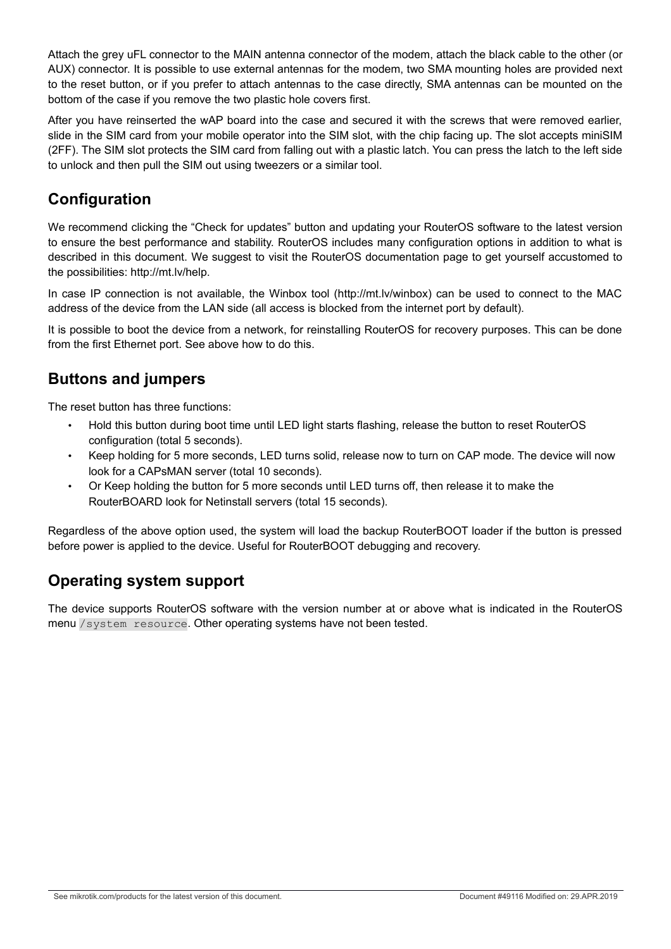Attach the grey uFL connector to the MAIN antenna connector of the modem, attach the black cable to the other (or AUX) connector. It is possible to use external antennas for the modem, two SMA mounting holes are provided next to the reset button, or if you prefer to attach antennas to the case directly, SMA antennas can be mounted on the bottom of the case if you remove the two plastic hole covers first.

After you have reinserted the wAP board into the case and secured it with the screws that were removed earlier, slide in the SIM card from your mobile operator into the SIM slot, with the chip facing up. The slot accepts miniSIM (2FF). The SIM slot protects the SIM card from falling out with a plastic latch. You can press the latch to the left side to unlock and then pull the SIM out using tweezers or a similar tool.

## **Configuration**

We recommend clicking the "Check for updates" button and updating your RouterOS software to the latest version to ensure the best performance and stability. RouterOS includes many configuration options in addition to what is described in this document. We suggest to visit the RouterOS documentation page to get yourself accustomed to the possibilities: http://mt.lv/help.

In case IP connection is not available, the Winbox tool (http://mt.lv/winbox) can be used to connect to the MAC address of the device from the LAN side (all access is blocked from the internet port by default).

It is possible to boot the device from a network, for reinstalling RouterOS for recovery purposes. This can be done from the first Ethernet port. See above how to do this.

### **Buttons and jumpers**

The reset button has three functions:

- Hold this button during boot time until LED light starts flashing, release the button to reset RouterOS configuration (total 5 seconds).
- Keep holding for 5 more seconds, LED turns solid, release now to turn on CAP mode. The device will now look for a CAPsMAN server (total 10 seconds).
- Or Keep holding the button for 5 more seconds until LED turns off, then release it to make the RouterBOARD look for Netinstall servers (total 15 seconds).

Regardless of the above option used, the system will load the backup RouterBOOT loader if the button is pressed before power is applied to the device. Useful for RouterBOOT debugging and recovery.

### **Operating system support**

The device supports RouterOS software with the version number at or above what is indicated in the RouterOS menu /system resource. Other operating systems have not been tested.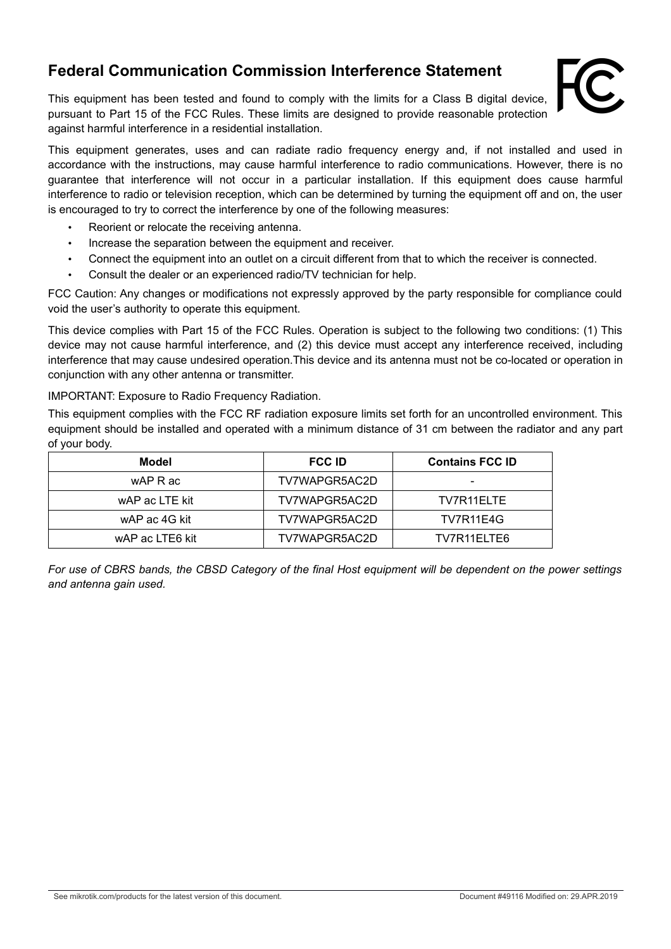#### **Federal Communication Commission Interference Statement**

This equipment has been tested and found to comply with the limits for a Class B digital device, pursuant to Part 15 of the FCC Rules. These limits are designed to provide reasonable protection against harmful interference in a residential installation.



This equipment generates, uses and can radiate radio frequency energy and, if not installed and used in accordance with the instructions, may cause harmful interference to radio communications. However, there is no guarantee that interference will not occur in a particular installation. If this equipment does cause harmful interference to radio or television reception, which can be determined by turning the equipment off and on, the user is encouraged to try to correct the interference by one of the following measures:

- Reorient or relocate the receiving antenna.
- Increase the separation between the equipment and receiver.
- Connect the equipment into an outlet on a circuit different from that to which the receiver is connected.
- Consult the dealer or an experienced radio/TV technician for help.

FCC Caution: Any changes or modifications not expressly approved by the party responsible for compliance could void the user's authority to operate this equipment.

This device complies with Part 15 of the FCC Rules. Operation is subject to the following two conditions: (1) This device may not cause harmful interference, and (2) this device must accept any interference received, including interference that may cause undesired operation.This device and its antenna must not be co-located or operation in conjunction with any other antenna or transmitter.

IMPORTANT: Exposure to Radio Frequency Radiation.

This equipment complies with the FCC RF radiation exposure limits set forth for an uncontrolled environment. This equipment should be installed and operated with a minimum distance of 31 cm between the radiator and any part of your body.

| Model           | <b>FCC ID</b> | <b>Contains FCC ID</b> |  |
|-----------------|---------------|------------------------|--|
| wAP R ac        | TV7WAPGR5AC2D | -                      |  |
| wAP ac LTE kit  | TV7WAPGR5AC2D | TV7R11FLTF             |  |
| wAP ac 4G kit   | TV7WAPGR5AC2D | TV7R11E4G              |  |
| wAP ac LTE6 kit | TV7WAPGR5AC2D | TV7R11ELTE6            |  |

*For use of CBRS bands, the CBSD Category of the final Host equipment will be dependent on the power settings and antenna gain used.*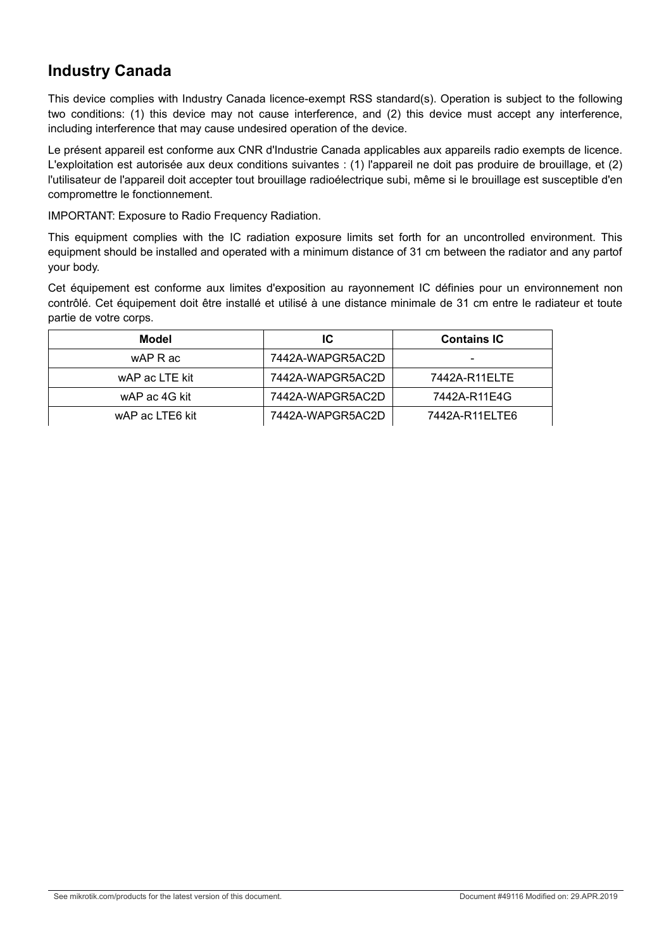#### **Industry Canada**

This device complies with Industry Canada licence-exempt RSS standard(s). Operation is subject to the following two conditions: (1) this device may not cause interference, and (2) this device must accept any interference, including interference that may cause undesired operation of the device.

Le présent appareil est conforme aux CNR d'Industrie Canada applicables aux appareils radio exempts de licence. L'exploitation est autorisée aux deux conditions suivantes : (1) l'appareil ne doit pas produire de brouillage, et (2) l'utilisateur de l'appareil doit accepter tout brouillage radioélectrique subi, même si le brouillage est susceptible d'en compromettre le fonctionnement.

IMPORTANT: Exposure to Radio Frequency Radiation.

This equipment complies with the IC radiation exposure limits set forth for an uncontrolled environment. This equipment should be installed and operated with a minimum distance of 31 cm between the radiator and any partof your body.

Cet équipement est conforme aux limites d'exposition au rayonnement IC définies pour un environnement non contrôlé. Cet équipement doit être installé et utilisé à une distance minimale de 31 cm entre le radiateur et toute partie de votre corps.

| Model           | IC               | <b>Contains IC</b> |  |
|-----------------|------------------|--------------------|--|
| wAP R ac        | 7442A-WAPGR5AC2D | -                  |  |
| wAP ac LTE kit  | 7442A-WAPGR5AC2D | 7442A-R11ELTE      |  |
| wAP ac 4G kit   | 7442A-WAPGR5AC2D | 7442A-R11E4G       |  |
| wAP ac LTE6 kit | 7442A-WAPGR5AC2D | 7442A-R11ELTE6     |  |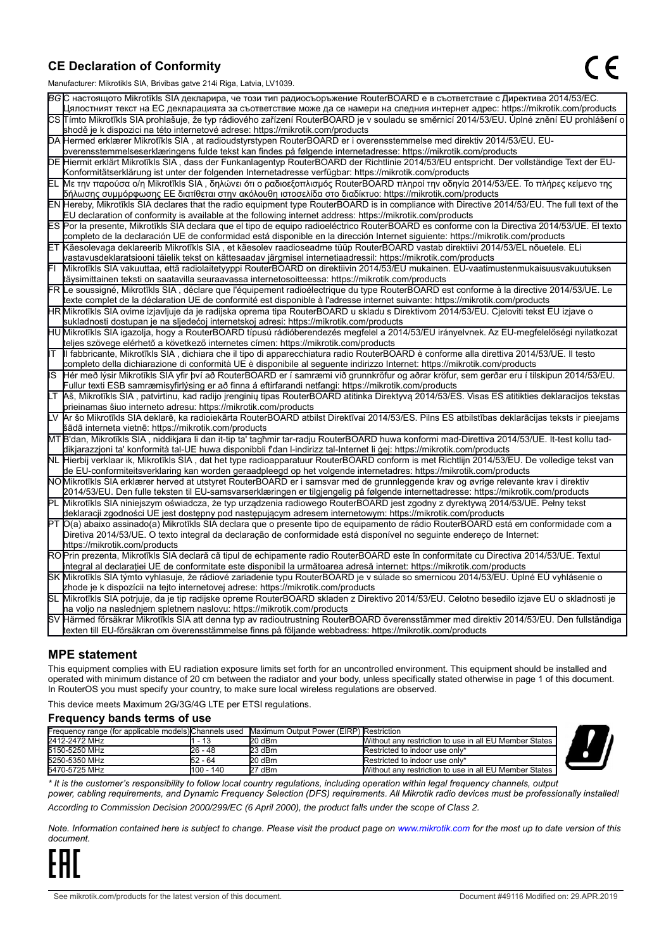#### **CE Declaration of Conformity**

Manufacturer: Mikrotikls SIA, Brivibas gatve 214i Riga, Latvia, LV1039.

|    | ividi iulacturei . Iviiki olikis OIA, Ditvibas yatve ZT41 Nya, Latvia, Lv 1009                                                                                                                                                                                  |
|----|-----------------------------------------------------------------------------------------------------------------------------------------------------------------------------------------------------------------------------------------------------------------|
|    | ВСС настоящото Mikrotīkls SIA декларира, че този тип радиосъоръжение RouterBOARD е в съответствие с Директива 2014/53/EC.                                                                                                                                       |
|    | Цялостният текст на ЕС декларацията за съответствие може да се намери на следния интернет адрес: https://mikrotik.com/products                                                                                                                                  |
|    | CS Tímto Mikrotīkls SIA prohlašuje, že typ rádiového zařízení RouterBOARD je v souladu se směrnicí 2014/53/EU. Úplné znění EU prohlášení o                                                                                                                      |
|    | shodě je k dispozici na této internetové adrese: https://mikrotik.com/products                                                                                                                                                                                  |
|    | DA Hermed erklærer Mikrotīkls SIA, at radioudstyrstypen RouterBOARD er i overensstemmelse med direktiv 2014/53/EU. EU-                                                                                                                                          |
|    | overensstemmelseserklæringens fulde tekst kan findes på følgende internetadresse: https://mikrotik.com/products                                                                                                                                                 |
|    | DE Hiermit erklärt Mikrotīkls SIA, dass der Funkanlagentyp RouterBOARD der Richtlinie 2014/53/EU entspricht. Der vollständige Text der EU-                                                                                                                      |
|    | Konformitätserklärung ist unter der folgenden Internetadresse verfügbar: https://mikrotik.com/products                                                                                                                                                          |
| EL | Με την παρούσα ο/η Mikrotīkls SIA, δηλώνει ότι ο ραδιοεξοπλισμός RouterBOARD πληροί την οδηγία 2014/53/ΕΕ. Το πλήρες κείμενο της<br>δήλωσης συμμόρφωσης ΕΕ διατίθεται στην ακόλουθη ιστοσελίδα στο διαδίκτυο: https://mikrotik.com/products                     |
|    | EN Hereby, Mikrotīkls SIA declares that the radio equipment type RouterBOARD is in compliance with Directive 2014/53/EU. The full text of the                                                                                                                   |
|    | EU declaration of conformity is available at the following internet address: https://mikrotik.com/products                                                                                                                                                      |
|    | ES Por la presente, Mikrotīkls SIA declara que el tipo de equipo radioeléctrico RouterBOARD es conforme con la Directiva 2014/53/UE. El texto                                                                                                                   |
|    | completo de la declaración UE de conformidad está disponible en la dirección Internet siguiente: https://mikrotik.com/products                                                                                                                                  |
|    | ET Käesolevaga deklareerib Mikrotīkls SIA, et käesolev raadioseadme tüüp RouterBOARD vastab direktiivi 2014/53/EL nõuetele. ELi                                                                                                                                 |
|    | vastavusdeklaratsiooni täielik tekst on kättesaadav järgmisel internetiaadressil: https://mikrotik.com/products                                                                                                                                                 |
|    | Mikrotīkls SIA vakuuttaa, että radiolaitetyyppi RouterBOARD on direktiivin 2014/53/EU mukainen. EU-vaatimustenmukaisuusvakuutuksen                                                                                                                              |
|    | täysimittainen teksti on saatavilla seuraavassa internetosoitteessa: https://mikrotik.com/products                                                                                                                                                              |
|    | FR Le soussigné, Mikrotīkls SIA , déclare que l'équipement radioélectrique du type RouterBOARD est conforme à la directive 2014/53/UE. Le                                                                                                                       |
|    | texte complet de la déclaration UE de conformité est disponible à l'adresse internet suivante: https://mikrotik.com/products                                                                                                                                    |
|    | HR∭likrotīkls SIA ovime izjavljuje da je radijska oprema tipa RouterBOARD u skladu s Direktivom 2014/53/EU. Cjeloviti tekst EU izjave o                                                                                                                         |
|    | sukladnosti dostupan je na sljedećoj internetskoj adresi: https://mikrotik.com/products                                                                                                                                                                         |
|    | HU Mikrotīkls SIA igazolja, hogy a RouterBOARD típusú rádióberendezés megfelel a 2014/53/EU irányelvnek. Az EU-megfelelőségi nyilatkozat                                                                                                                        |
|    | teljes szövege elérhető a következő internetes címen: https://mikrotik.com/products                                                                                                                                                                             |
| lΓ | Il fabbricante, Mikrotīkls SIA, dichiara che il tipo di apparecchiatura radio RouterBOARD è conforme alla direttiva 2014/53/UE. Il testo                                                                                                                        |
|    | completo della dichiarazione di conformità UE è disponibile al seguente indirizzo Internet: https://mikrotik.com/products                                                                                                                                       |
| IS | Hér með lýsir Mikrotīkls SIA yfir því að RouterBOARD er í samræmi við grunnkröfur og aðrar kröfur, sem gerðar eru í tilskipun 2014/53/EU.                                                                                                                       |
|    | Fullur texti ESB samræmisyfirlýsing er að finna á eftirfarandi netfangi: https://mikrotik.com/products                                                                                                                                                          |
| LТ | Aš, Mikrotīkls SIA, patvirtinu, kad radijo įrenginių tipas RouterBOARD atitinka Direktyvą 2014/53/ES. Visas ES atitikties deklaracijos tekstas                                                                                                                  |
|    | prieinamas šiuo interneto adresu: https://mikrotik.com/products                                                                                                                                                                                                 |
|    | Ar šo Mikrotīkls SIA deklarē, ka radioiekārta RouterBOARD atbilst Direktīvai 2014/53/ES. Pilns ES atbilstības deklarācijas teksts ir pieejams                                                                                                                   |
|    | šādā interneta vietnē: https://mikrotik.com/products                                                                                                                                                                                                            |
|    | MT B'dan, Mikrotīkls SIA , niddikjara li dan it-tip ta' tagħmir tar-radju RouterBOARD huwa konformi mad-Direttiva 2014/53/UE. It-test kollu tad-                                                                                                                |
|    | dikjarazzjoni ta' konformità tal-UE huwa disponibbli f'dan l-indirizz tal-Internet li ġej: https://mikrotik.com/products                                                                                                                                        |
|    | NL  Hierbij verklaar ik, Mikrotīkls SIA , dat het type radioapparatuur RouterBOARD conform is met Richtlijn 2014/53/EU. De volledige tekst van                                                                                                                  |
|    | de EU-conformiteitsverklaring kan worden geraadpleegd op het volgende internetadres: https://mikrotik.com/products                                                                                                                                              |
|    | NOMikrotīkls SIA erklærer herved at utstyret RouterBOARD er i samsvar med de grunnleggende krav og øvrige relevante krav i direktiv                                                                                                                             |
|    | 2014/53/EU. Den fulle teksten til EU-samsvarserklæringen er tilgjengelig på følgende internettadresse: https://mikrotik.com/products                                                                                                                            |
| ĒΓ | Mikrotīkls SIA niniejszym oświadcza, że typ urządzenia radiowego RouterBOARD jest zgodny z dyrektywą 2014/53/UE. Pełny tekst                                                                                                                                    |
|    | deklaracji zgodności UE jest dostępny pod następującym adresem internetowym: https://mikrotik.com/products                                                                                                                                                      |
|    | PT O(a) abaixo assinado(a) Mikrotīkls SIA declara que o presente tipo de equipamento de rádio RouterBOARD está em conformidade com a                                                                                                                            |
|    | Diretiva 2014/53/UE. O texto integral da declaração de conformidade está disponível no seguinte endereço de Internet:                                                                                                                                           |
|    | https://mikrotik.com/products                                                                                                                                                                                                                                   |
|    | ROPrin prezenta, Mikrotīkls SIA declară că tipul de echipamente radio RouterBOARD este în conformitate cu Directiva 2014/53/UE. Textul                                                                                                                          |
|    | integral al declarației UE de conformitate este disponibil la următoarea adresă internet: https://mikrotik.com/products<br>SK Mikrotīkls SIA týmto vyhlasuje, že rádiové zariadenie typu RouterBOARD je v súlade so smernicou 2014/53/EÚ. Úplné EÚ vyhlásenie o |
|    | zhode je k dispozícii na tejto internetovej adrese: https://mikrotik.com/products                                                                                                                                                                               |
|    | SL Mikrotīkls SIA potrjuje, da je tip radijske opreme RouterBOARD skladen z Direktivo 2014/53/EU. Celotno besedilo izjave EU o skladnosti je                                                                                                                    |
|    | na voljo na naslednjem spletnem naslovu: https://mikrotik.com/products                                                                                                                                                                                          |
|    | SV Härmed försäkrar Mikrotīkls SIA att denna typ av radioutrustning RouterBOARD överensstämmer med direktiv 2014/53/EU. Den fullständiga                                                                                                                        |
|    | texten till EU-försäkran om överensstämmelse finns på följande webbadress: https://mikrotik.com/products                                                                                                                                                        |
|    |                                                                                                                                                                                                                                                                 |

#### **MPE statement**

This equipment complies with EU radiation exposure limits set forth for an uncontrolled environment. This equipment should be installed and operated with minimum distance of 20 cm between the radiator and your body, unless specifically stated otherwise in page 1 of this document. In RouterOS you must specify your country, to make sure local wireless regulations are observed.

This device meets Maximum 2G/3G/4G LTE per ETSI regulations.

#### **Frequency bands terms of use**

|               | Frequency range (for applicable models) Channels used | Maximum Output Power (EIRP) Restriction |                                                        |  |
|---------------|-------------------------------------------------------|-----------------------------------------|--------------------------------------------------------|--|
| 2412-2472 MHz | - 13                                                  | 20 dBm                                  | Without any restriction to use in all EU Member States |  |
| 5150-5250 MHz | 26 - 48                                               | 23 dBm                                  | Restricted to indoor use only*                         |  |
| 5250-5350 MHz | 52 - 64                                               | 20 dBm                                  | Restricted to indoor use only*                         |  |
| 5470-5725 MHz | 1100 - 140                                            | 27 dBm                                  | Without any restriction to use in all EU Member States |  |



*\* It is the customer's responsibility to follow local country regulations, including operation within legal frequency channels, output power, cabling requirements, and Dynamic Frequency Selection (DFS) requirements. All Mikrotik radio devices must be professionally installed!*

*According to Commission Decision 2000/299/EC (6 April 2000), the product falls under the scope of Class 2.*

*Note. Information contained here is subject to change. Please visit the product page on [www.mikrotik.com](http://www.mikrotik.com/) for the most up to date version of this document.*